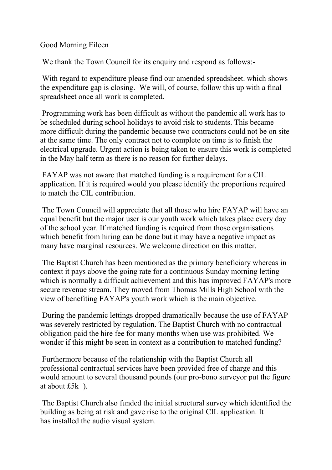Good Morning Eileen

We thank the Town Council for its enquiry and respond as follows:-

With regard to expenditure please find our amended spreadsheet. which shows the expenditure gap is closing. We will, of course, follow this up with a final spreadsheet once all work is completed.

Programming work has been difficult as without the pandemic all work has to be scheduled during school holidays to avoid risk to students. This became more difficult during the pandemic because two contractors could not be on site at the same time. The only contract not to complete on time is to finish the electrical upgrade. Urgent action is being taken to ensure this work is completed in the May half term as there is no reason for further delays.

FAYAP was not aware that matched funding is a requirement for a CIL application. If it is required would you please identify the proportions required to match the CIL contribution.

The Town Council will appreciate that all those who hire FAYAP will have an equal benefit but the major user is our youth work which takes place every day of the school year. If matched funding is required from those organisations which benefit from hiring can be done but it may have a negative impact as many have marginal resources. We welcome direction on this matter.

The Baptist Church has been mentioned as the primary beneficiary whereas in context it pays above the going rate for a continuous Sunday morning letting which is normally a difficult achievement and this has improved FAYAP's more secure revenue stream. They moved from Thomas Mills High School with the view of benefiting FAYAP's youth work which is the main objective.

During the pandemic lettings dropped dramatically because the use of FAYAP was severely restricted by regulation. The Baptist Church with no contractual obligation paid the hire fee for many months when use was prohibited. We wonder if this might be seen in context as a contribution to matched funding?

Furthermore because of the relationship with the Baptist Church all professional contractual services have been provided free of charge and this would amount to several thousand pounds (our pro-bono surveyor put the figure at about £5k+).

The Baptist Church also funded the initial structural survey which identified the building as being at risk and gave rise to the original CIL application. It has installed the audio visual system.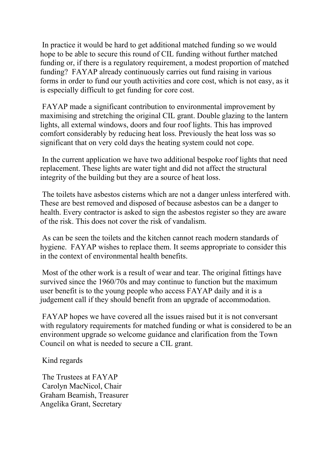In practice it would be hard to get additional matched funding so we would hope to be able to secure this round of CIL funding without further matched funding or, if there is a regulatory requirement, a modest proportion of matched funding? FAYAP already continuously carries out fund raising in various forms in order to fund our youth activities and core cost, which is not easy, as it is especially difficult to get funding for core cost.

FAYAP made a significant contribution to environmental improvement by maximising and stretching the original CIL grant. Double glazing to the lantern lights, all external windows, doors and four roof lights. This has improved comfort considerably by reducing heat loss. Previously the heat loss was so significant that on very cold days the heating system could not cope.

In the current application we have two additional bespoke roof lights that need replacement. These lights are water tight and did not affect the structural integrity of the building but they are a source of heat loss.

The toilets have asbestos cisterns which are not a danger unless interfered with. These are best removed and disposed of because asbestos can be a danger to health. Every contractor is asked to sign the asbestos register so they are aware of the risk. This does not cover the risk of vandalism.

As can be seen the toilets and the kitchen cannot reach modern standards of hygiene. FAYAP wishes to replace them. It seems appropriate to consider this in the context of environmental health benefits.

Most of the other work is a result of wear and tear. The original fittings have survived since the 1960/70s and may continue to function but the maximum user benefit is to the young people who access FAYAP daily and it is a judgement call if they should benefit from an upgrade of accommodation.

FAYAP hopes we have covered all the issues raised but it is not conversant with regulatory requirements for matched funding or what is considered to be an environment upgrade so welcome guidance and clarification from the Town Council on what is needed to secure a CIL grant.

Kind regards

The Trustees at FAYAP Carolyn MacNicol, Chair Graham Beamish, Treasurer Angelika Grant, Secretary